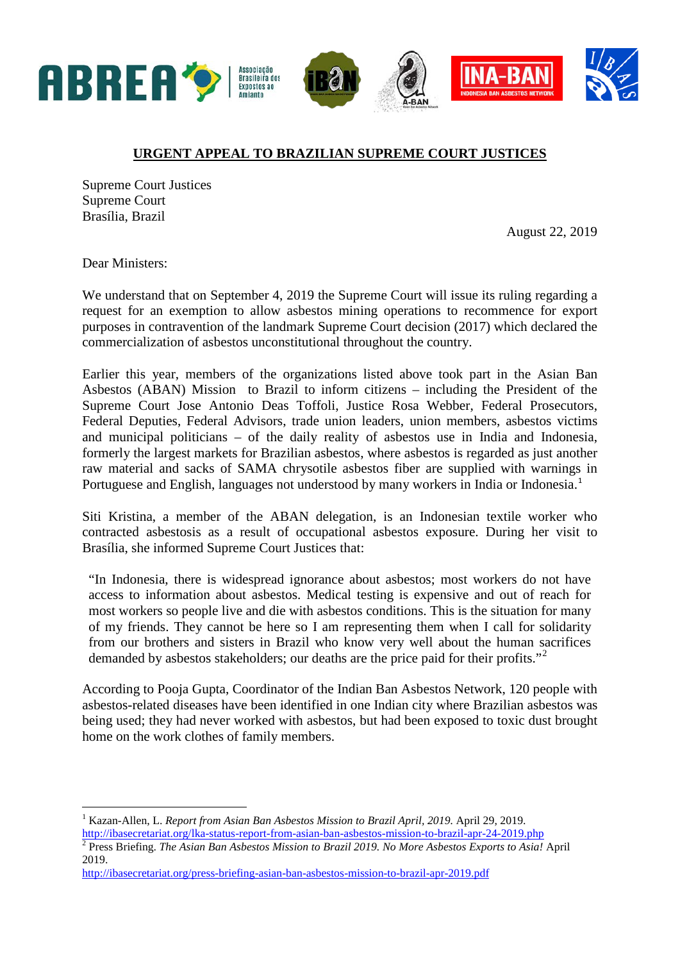

## **URGENT APPEAL TO BRAZILIAN SUPREME COURT JUSTICES**

Supreme Court Justices Supreme Court Brasília, Brazil

August 22, 2019

Dear Ministers:

We understand that on September 4, 2019 the Supreme Court will issue its ruling regarding a request for an exemption to allow asbestos mining operations to recommence for export purposes in contravention of the landmark Supreme Court decision (2017) which declared the commercialization of asbestos unconstitutional throughout the country.

Earlier this year, members of the organizations listed above took part in the Asian Ban Asbestos (ABAN) Mission to Brazil to inform citizens – including the President of the Supreme Court Jose Antonio Deas Toffoli, Justice Rosa Webber, Federal Prosecutors, Federal Deputies, Federal Advisors, trade union leaders, union members, asbestos victims and municipal politicians – of the daily reality of asbestos use in India and Indonesia, formerly the largest markets for Brazilian asbestos, where asbestos is regarded as just another raw material and sacks of SAMA chrysotile asbestos fiber are supplied with warnings in Portuguese and English, languages not understood by many workers in India or Indonesia.<sup>[1](#page-0-0)</sup>

Siti Kristina, a member of the ABAN delegation, is an Indonesian textile worker who contracted asbestosis as a result of occupational asbestos exposure. During her visit to Brasília, she informed Supreme Court Justices that:

"In Indonesia, there is widespread ignorance about asbestos; most workers do not have access to information about asbestos. Medical testing is expensive and out of reach for most workers so people live and die with asbestos conditions. This is the situation for many of my friends. They cannot be here so I am representing them when I call for solidarity from our brothers and sisters in Brazil who know very well about the human sacrifices demanded by asbestos stakeholders; our deaths are the price paid for their profits."<sup>[2](#page-0-1)</sup>

According to Pooja Gupta, Coordinator of the Indian Ban Asbestos Network, 120 people with asbestos-related diseases have been identified in one Indian city where Brazilian asbestos was being used; they had never worked with asbestos, but had been exposed to toxic dust brought home on the work clothes of family members.

<span id="page-0-0"></span> <sup>1</sup> Kazan-Allen, L. *Report from Asian Ban Asbestos Mission to Brazil April, 2019.* April 29, 2019. <http://ibasecretariat.org/lka-status-report-from-asian-ban-asbestos-mission-to-brazil-apr-24-2019.php> <sup>2</sup> Press Briefing. *The Asian Ban Asbestos Mission to Brazil 2019. No More Asbestos Exports to Asia!* April

<span id="page-0-1"></span><sup>2019.</sup>

<http://ibasecretariat.org/press-briefing-asian-ban-asbestos-mission-to-brazil-apr-2019.pdf>